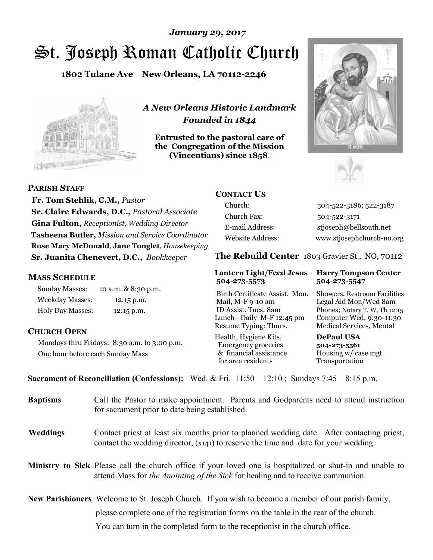# St. Joseph Roman Catholic Church *January 29, 2017*

**1802 Tulane Ave New Orleans, LA 70112-2246**



*A New Orleans Historic Landmark Founded in 1844* 

**Entrusted to the pastoral care of the Congregation of the Mission (Vincentians) since 1858**.





**PARISH STAFF**

 **Fr. Tom Stehlik, C.M.,** *Pastor* **Sr. Claire Edwards, D.C.,** *Pastoral Associate* **Gina Fulton,** *Receptionist, Wedding Director* **Tasheena Butler,** *Mission and Service Coordinator* **Rose Mary McDonald**, **Jane Tonglet**, *Housekeeping* **Sr. Juanita Chenevert, D.C.,** *Bookkeeper* 

#### **MASS SCHEDULE**

Sunday Masses: 10 a.m. & 8:30 p.m. Weekday Masses: 12:15 p.m. Holy Day Masses: 12:15 p.m.

#### **CHURCH OPEN**

Mondays thru Fridays: 8:30 a.m. to 3:00 p.m. One hour before each Sunday Mass

# **CONTACT US**

Church: 504-522-3186; 522-3187 Church Fax: 504-522-3171 E-mail Address: stjoseph@bellsouth.net Website Address: www.stjosephchurch-no.org

**The Rebuild Center** 1803 Gravier St., NO, 70112

#### **Lantern Light/Feed Jesus Harry Tompson Center 504-273-5573 504-273-5547**

Birth Certificate Assist. Mon. Showers, Restroom Facilities Mail, M-F 9-10 am Legal Aid Mon/Wed 8am ID Assist. Tues. 8am Phones; Notary T, W, Th 12:15 Lunch—Daily M-F 12:45 pm Computer Wed. 9:30-11:30 Resume Typing: Thurs. Medical Services, Mental

Health, Hygiene Kits, **DePaul USA**  Emergency groceries **504-273-5561** & financial assistance Housing w/ case mgt.<br>for area residents Transportation for area residents

**Sacrament of Reconciliation (Confessions):** Wed. & Fri. 11:50—12:10 ; Sundays 7:45—8:15 p.m.

| <b>Baptisms</b> | Call the Pastor to make appointment. Parents and Godparents need to attend instruction<br>for sacrament prior to date being established.                                                            |  |
|-----------------|-----------------------------------------------------------------------------------------------------------------------------------------------------------------------------------------------------|--|
| <b>Weddings</b> | Contact priest at least six months prior to planned wedding date. After contacting priest,<br>contact the wedding director, (x141) to reserve the time and date for your wedding.                   |  |
|                 | <b>Ministry to Sick</b> Please call the church office if your loved one is hospitalized or shut-in and unable to<br>attend Mass for the Anointing of the Sick for healing and to receive communion. |  |
|                 | <b>New Parishioners</b> Welcome to St. Joseph Church. If you wish to become a member of our parish family,                                                                                          |  |
|                 | please complete one of the registration forms on the table in the rear of the church.                                                                                                               |  |
|                 | You can turn in the completed form to the reception is the church office.                                                                                                                           |  |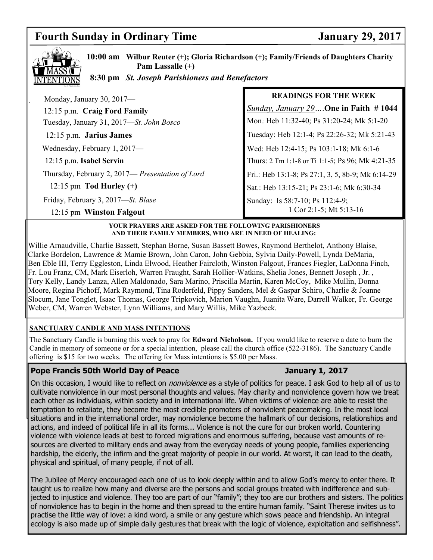# **Fourth Sunday in Ordinary Time** *January 29, 2017*



**10:00 am Wilbur Reuter (+); Gloria Richardson (+); Family/Friends of Daughters Charity Pam Lassalle (+)**

 **8:30 pm** *St. Joseph Parishioners and Benefactors*

| Monday, January 30, 2017-                        | <b>READINGS FOR THE WEEK</b>                      |
|--------------------------------------------------|---------------------------------------------------|
| 12:15 p.m. Craig Ford Family                     | Sunday, January 29 One in Faith #1044             |
| Tuesday, January 31, 2017-St. John Bosco         | Mon.: Heb 11:32-40; Ps 31:20-24; Mk 5:1-20        |
| 12:15 p.m. Jarius James                          | Tuesday: Heb 12:1-4; Ps 22:26-32; Mk 5:21-43      |
| Wednesday, February 1, 2017-                     | Wed: Heb 12:4-15; Ps 103:1-18; Mk 6:1-6           |
| 12:15 p.m. Isabel Servin                         | Thurs: 2 Tm 1:1-8 or Ti 1:1-5; Ps 96; Mk 4:21-35  |
| Thursday, February 2, 2017— Presentation of Lord | Fri.: Heb 13:1-8; Ps 27:1, 3, 5, 8b-9; Mk 6:14-29 |
| 12:15 pm Tod Hurley $(+)$                        | Sat.: Heb 13:15-21; Ps 23:1-6; Mk 6:30-34         |
| Friday, February 3, 2017-St. Blase               | Sunday: Is 58:7-10; Ps 112:4-9;                   |
| 12:15 pm Winston Falgout                         | 1 Cor 2:1-5; Mt 5:13-16                           |

#### **YOUR PRAYERS ARE ASKED FOR THE FOLLOWING PARISHIONERS AND THEIR FAMILY MEMBERS, WHO ARE IN NEED OF HEALING:**

Willie Arnaudville, Charlie Bassett, Stephan Borne, Susan Bassett Bowes, Raymond Berthelot, Anthony Blaise, Clarke Bordelon, Lawrence & Mamie Brown, John Caron, John Gebbia, Sylvia Daily-Powell, Lynda DeMaria, Ben Eble III, Terry Eggleston, Linda Elwood, Heather Faircloth, Winston Falgout, Frances Fiegler, LaDonna Finch, Fr. Lou Franz, CM, Mark Eiserloh, Warren Fraught, Sarah Hollier-Watkins, Shelia Jones, Bennett Joseph , Jr. , Tory Kelly, Landy Lanza, Allen Maldonado, Sara Marino, Priscilla Martin, Karen McCoy, Mike Mullin, Donna Moore, Regina Pichoff, Mark Raymond, Tina Roderfeld, Pippy Sanders, Mel & Gaspar Schiro, Charlie & Joanne Slocum, Jane Tonglet, Isaac Thomas, George Tripkovich, Marion Vaughn, Juanita Ware, Darrell Walker, Fr. George Weber, CM, Warren Webster, Lynn Williams, and Mary Willis, Mike Yazbeck.

#### **SANCTUARY CANDLE AND MASS INTENTIONS**

The Sanctuary Candle is burning this week to pray for **Edward Nicholson.** If you would like to reserve a date to burn the Candle in memory of someone or for a special intention, please call the church office (522-3186). The Sanctuary Candle offering is \$15 for two weeks. The offering for Mass intentions is \$5.00 per Mass.

## **Pope Francis 50th World Day of Peace January 1, 2017**

On this occasion, I would like to reflect on *nonviolence* as a style of politics for peace. I ask God to help all of us to cultivate nonviolence in our most personal thoughts and values. May charity and nonviolence govern how we treat each other as individuals, within society and in international life. When victims of violence are able to resist the temptation to retaliate, they become the most credible promoters of nonviolent peacemaking. In the most local situations and in the international order, may nonviolence become the hallmark of our decisions, relationships and actions, and indeed of political life in all its forms... Violence is not the cure for our broken world. Countering violence with violence leads at best to forced migrations and enormous suffering, because vast amounts of resources are diverted to military ends and away from the everyday needs of young people, families experiencing hardship, the elderly, the infirm and the great majority of people in our world. At worst, it can lead to the death, physical and spiritual, of many people, if not of all.

The Jubilee of Mercy encouraged each one of us to look deeply within and to allow God's mercy to enter there. It taught us to realize how many and diverse are the persons and social groups treated with indifference and subjected to injustice and violence. They too are part of our "family"; they too are our brothers and sisters. The politics of nonviolence has to begin in the home and then spread to the entire human family. "Saint Therese invites us to practise the little way of love: a kind word, a smile or any gesture which sows peace and friendship. An integral ecology is also made up of simple daily gestures that break with the logic of violence, exploitation and selfishness".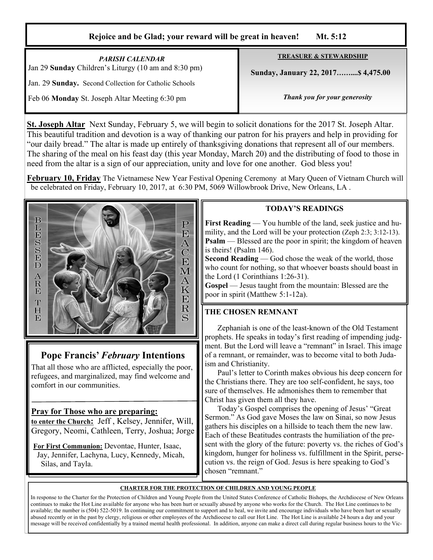#### **Rejoice and be Glad; your reward will be great in heaven! Mt. 5:12**

| <b>PARISH CALENDAR</b><br>Jan 29 Sunday Children's Liturgy (10 am and 8:30 pm) | <b>TREASURE &amp; STEWARDSHIP</b>   |  |
|--------------------------------------------------------------------------------|-------------------------------------|--|
| Jan. 29 Sunday. Second Collection for Catholic Schools                         | Sunday, January 22, 2017 \$4,475.00 |  |
| Feb 06 Monday St. Joseph Altar Meeting 6:30 pm                                 | Thank you for your generosity       |  |

**St. Joseph Altar** Next Sunday, February 5, we will begin to solicit donations for the 2017 St. Joseph Altar. This beautiful tradition and devotion is a way of thanking our patron for his prayers and help in providing for "our daily bread." The altar is made up entirely of thanksgiving donations that represent all of our members. The sharing of the meal on his feast day (this year Monday, March 20) and the distributing of food to those in need from the altar is a sign of our appreciation, unity and love for one another. God bless you!

**February 10, Friday** The Vietnamese New Year Festival Opening Ceremony at Mary Queen of Vietnam Church will be celebrated on Friday, February 10, 2017, at 6:30 PM, 5069 Willowbrook Drive, New Orleans, LA .



# **Pope Francis'** *February* **Intentions**

That all those who are afflicted, especially the poor, refugees, and marginalized, may find welcome and comfort in our communities.

## **Pray for Those who are preparing:**

**to enter the Church:** Jeff , Kelsey, Jennifer, Will, Gregory, Neomi, Cathleen, Terry, Joshua; Jorge

**For First Communion:** Devontae, Hunter, Isaac, Jay, Jennifer, Lachyna, Lucy, Kennedy, Micah, Silas, and Tayla.

#### **TODAY'S READINGS**

**First Reading** — You humble of the land, seek justice and humility, and the Lord will be your protection (Zeph 2:3; 3:12-13). **Psalm** — Blessed are the poor in spirit; the kingdom of heaven is theirs! (Psalm 146).

**Second Reading** — God chose the weak of the world, those who count for nothing, so that whoever boasts should boast in the Lord (1 Corinthians 1:26-31).

**Gospel** — Jesus taught from the mountain: Blessed are the poor in spirit (Matthew 5:1-12a).

## **THE CHOSEN REMNANT**

 Zephaniah is one of the least-known of the Old Testament prophets. He speaks in today's first reading of impending judgment. But the Lord will leave a "remnant" in Israel. This image of a remnant, or remainder, was to become vital to both Judaism and Christianity.

 Paul's letter to Corinth makes obvious his deep concern for the Christians there. They are too self-confident, he says, too sure of themselves. He admonishes them to remember that Christ has given them all they have.

 Today's Gospel comprises the opening of Jesus' "Great Sermon." As God gave Moses the law on Sinai, so now Jesus gathers his disciples on a hillside to teach them the new law. Each of these Beatitudes contrasts the humiliation of the present with the glory of the future: poverty vs. the riches of God's kingdom, hunger for holiness vs. fulfillment in the Spirit, persecution vs. the reign of God. Jesus is here speaking to God's chosen "remnant."

#### **CHARTER FOR THE PROTECTION OF CHILDREN AND YOUNG PEOPLE**

In response to the Charter for the Protection of Children and Young People from the United States Conference of Catholic Bishops, the Archdiocese of New Orleans continues to make the Hot Line available for anyone who has been hurt or sexually abused by anyone who works for the Church. The Hot Line continues to be available; the number is (504) 522-5019. In continuing our commitment to support and to heal, we invite and encourage individuals who have been hurt or sexually abused recently or in the past by clergy, religious or other employees of the Archdiocese to call our Hot Line. The Hot Line is available 24 hours a day and your message will be received confidentially by a trained mental health professional. In addition, anyone can make a direct call during regular business hours to the Vic-